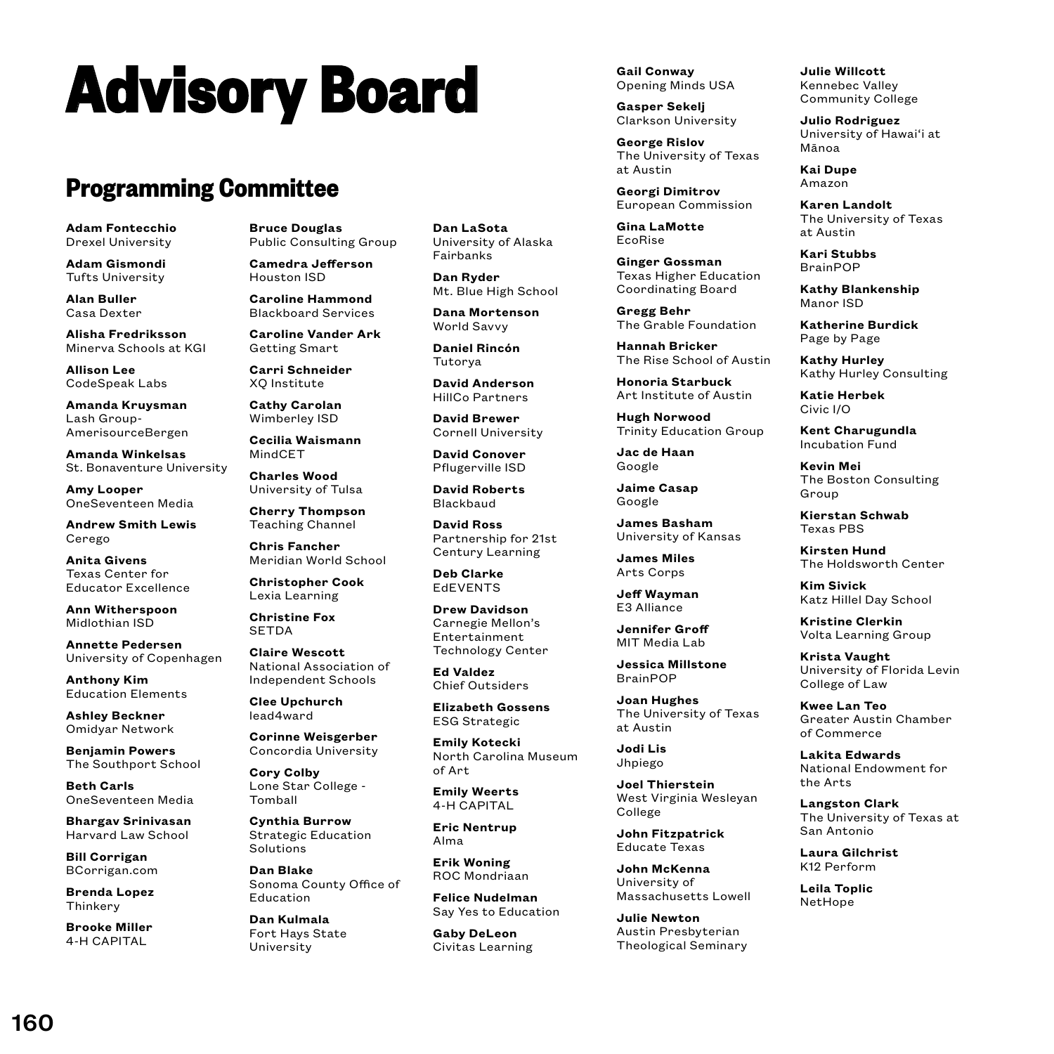# **Advisory Board**

## **Programming Committee**

**Adam Fontecchio** Drexel University

**Adam Gismondi** Tufts University

**Alan Buller** Casa Dexter

**Alisha Fredriksson** Minerva Schools at KGI

**Allison Lee** CodeSpeak Labs

**Amanda Kruysman** Lash Group-AmerisourceBergen

**Amanda Winkelsas** St. Bonaventure University

**Amy Looper** OneSeventeen Media

**Andrew Smith Lewis** Cerego

**Anita Givens** Texas Center for Educator Excellence

**Ann Witherspoon** Midlothian ISD

**Annette Pedersen** University of Copenhagen

**Anthony Kim** Education Elements

**Ashley Beckner** Omidyar Network

**Benjamin Powers** The Southport School

**Beth Carls** OneSeventeen Media

**Bhargav Srinivasan** Harvard Law School

**Bill Corrigan** BCorrigan.com

**Brenda Lopez Thinkery** 

**Brooke Miller** 4-H CAPITAL

160

**Bruce Douglas** Public Consulting Group

**Camedra Jefferson** Houston ISD

**Caroline Hammond** Blackboard Services

**Caroline Vander Ark** Getting Smart

**Carri Schneider** XQ Institute

**Cathy Carolan** Wimberley ISD

**Cecilia Waismann** MindCET

**Charles Wood** University of Tulsa

**Cherry Thompson** Teaching Channel

**Chris Fancher** Meridian World School

**Christopher Cook** Lexia Learning

**Christine Fox SETDA** 

**Claire Wescott** National Association of Independent Schools

**Clee Upchurch** lead4ward

**Corinne Weisgerber** Concordia University

**Cory Colby** Lone Star College - Tomball

**Cynthia Burrow** Strategic Education Solutions

**Dan Blake** Sonoma County Office of Education

**Dan Kulmala** Fort Hays State University

**Dan LaSota** University of Alaska Fairbanks

**Dan Ryder** Mt. Blue High School

**Dana Mortenson** World Savvy

**Daniel Rincón** Tutorya

**David Anderson** HillCo Partners

**David Brewer** Cornell University

**David Conover** Pflugerville ISD

**David Roberts** Blackbaud

**David Ross** Partnership for 21st Century Learning

**Deb Clarke EdEVENTS** 

**Drew Davidson** Carnegie Mellon's Entertainment Technology Center

**Ed Valdez** Chief Outsiders

**Elizabeth Gossens** ESG Strategic

**Emily Kotecki** North Carolina Museum of Art

**Emily Weerts** 4-H CAPITAL

**Eric Nentrup** Alma

**Erik Woning** ROC Mondriaan

**Felice Nudelman** Say Yes to Education

**Gaby DeLeon** Civitas Learning **Gail Conway** Opening Minds USA

**Gasper Sekelj** Clarkson University

**George Rislov** The University of Texas at Austin

**Georgi Dimitrov** European Commission

**Gina LaMotte** EcoRise

**Ginger Gossman** Texas Higher Education Coordinating Board

**Gregg Behr** The Grable Foundation

**Hannah Bricker** The Rise School of Austin

**Honoria Starbuck** Art Institute of Austin

**Hugh Norwood** Trinity Education Group

**Jac de Haan** Google

**Jaime Casap** Google

**James Basham**  University of Kansas

**James Miles** Arts Corps

**Jeff Wayman** E3 Alliance

**Jennifer Groff** MIT Media Lab

**Jessica Millstone** BrainPOP

**Joan Hughes** The University of Texas at Austin

**Jodi Lis** Jhpiego

**Joel Thierstein** West Virginia Wesleyan College

**John Fitzpatrick** Educate Texas

**John McKenna** University of Massachusetts Lowell

**Julie Newton** Austin Presbyterian Theological Seminary

**Julie Willcott** Kennebec Valley Community College

**Julio Rodriguez** University of Hawai'i at Mānoa

**Kai Dupe** Amazon

**Karen Landolt** The University of Texas at Austin

**Kari Stubbs** BrainPOP

**Kathy Blankenship** Manor ISD

**Katherine Burdick** Page by Page

**Kathy Hurley** Kathy Hurley Consulting

**Katie Herbek** Civic I/O

**Kent Charugundla** Incubation Fund

**Kevin Mei** The Boston Consulting Group

**Kierstan Schwab** Texas PBS

**Kirsten Hund** The Holdsworth Center

**Kim Sivick** Katz Hillel Day School

**Kristine Clerkin** Volta Learning Group

**Krista Vaught** University of Florida Levin College of Law

**Kwee Lan Teo** Greater Austin Chamber of Commerce

**Lakita Edwards** National Endowment for

the Arts **Langston Clark** The University of Texas at

San Antonio **Laura Gilchrist** K<sub>12</sub> Ponform **Leila Toplic** NetHope